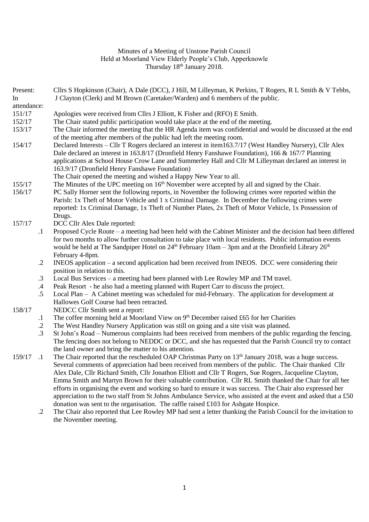## Minutes of a Meeting of Unstone Parish Council Held at Moorland View Elderly People's Club, Apperknowle Thursday 18<sup>th</sup> January 2018.

| Present:              |            | Cllrs S Hopkinson (Chair), A Dale (DCC), J Hill, M Lilleyman, K Perkins, T Rogers, R L Smith & V Tebbs,                                                                                                                     |
|-----------------------|------------|-----------------------------------------------------------------------------------------------------------------------------------------------------------------------------------------------------------------------------|
| In                    |            | J Clayton (Clerk) and M Brown (Caretaker/Warden) and 6 members of the public.                                                                                                                                               |
| attendance:<br>151/17 |            | Apologies were received from Cllrs J Elliott, K Fisher and (RFO) E Smith.                                                                                                                                                   |
| 152/17                |            | The Chair stated public participation would take place at the end of the meeting.                                                                                                                                           |
| 153/17                |            | The Chair informed the meeting that the HR Agenda item was confidential and would be discussed at the end                                                                                                                   |
|                       |            | of the meeting after members of the public had left the meeting room.                                                                                                                                                       |
| 154/17                |            | Declared Interests – Cllr T Rogers declared an interest in item163.7/17 (West Handley Nursery), Cllr Alex                                                                                                                   |
|                       |            | Dale declared an interest in 163.8/17 (Dronfield Henry Fanshawe Foundation), 166 & 167/7 Planning                                                                                                                           |
|                       |            | applications at School House Crow Lane and Summerley Hall and Cllr M Lilleyman declared an interest in                                                                                                                      |
|                       |            | 163.9/17 (Dronfield Henry Fanshawe Foundation)                                                                                                                                                                              |
|                       |            | The Chair opened the meeting and wished a Happy New Year to all.                                                                                                                                                            |
| 155/17                |            | The Minutes of the UPC meeting on 16 <sup>th</sup> November were accepted by all and signed by the Chair.                                                                                                                   |
| 156/17                |            | PC Sally Horner sent the following reports, in November the following crimes were reported within the                                                                                                                       |
|                       |            | Parish: 1x Theft of Motor Vehicle and 1 x Criminal Damage. In December the following crimes were                                                                                                                            |
|                       |            | reported: 1x Criminal Damage, 1x Theft of Number Plates, 2x Theft of Motor Vehicle, 1x Possession of                                                                                                                        |
|                       |            | Drugs.                                                                                                                                                                                                                      |
| 157/17                |            | DCC Cllr Alex Dale reported:                                                                                                                                                                                                |
|                       | $\cdot$    | Proposed Cycle Route – a meeting had been held with the Cabinet Minister and the decision had been differed                                                                                                                 |
|                       |            | for two months to allow further consultation to take place with local residents. Public information events<br>would be held at The Sandpiper Hotel on $24th$ February 10am – 3pm and at the Dronfield Library $26th$        |
|                       |            | February 4-8pm.                                                                                                                                                                                                             |
|                       | $\cdot$    | INEOS application $-$ a second application had been received from INEOS. DCC were considering their                                                                                                                         |
|                       |            | position in relation to this.                                                                                                                                                                                               |
|                       | $\cdot$ 3  | Local Bus Services – a meeting had been planned with Lee Rowley MP and TM travel.                                                                                                                                           |
|                       | .4         | Peak Resort - he also had a meeting planned with Rupert Carr to discuss the project.                                                                                                                                        |
|                       | .5         | Local Plan - A Cabinet meeting was scheduled for mid-February. The application for development at                                                                                                                           |
|                       |            | Hallowes Golf Course had been retracted.                                                                                                                                                                                    |
| 158/17                |            | NEDCC Cllr Smith sent a report:                                                                                                                                                                                             |
|                       | $\cdot$    | The coffee morning held at Moorland View on 9th December raised £65 for her Charities                                                                                                                                       |
|                       | $\cdot$    | The West Handley Nursery Application was still on going and a site visit was planned.                                                                                                                                       |
|                       | $\cdot$ 3  | St John's Road – Numerous complaints had been received from members of the public regarding the fencing.                                                                                                                    |
|                       |            | The fencing does not belong to NEDDC or DCC, and she has requested that the Parish Council try to contact                                                                                                                   |
|                       |            | the land owner and bring the matter to his attention.                                                                                                                                                                       |
| 159/17 .1             |            | The Chair reported that the rescheduled OAP Christmas Party on 13 <sup>th</sup> January 2018, was a huge success.                                                                                                           |
|                       |            | Several comments of appreciation had been received from members of the public. The Chair thanked Cllr                                                                                                                       |
|                       |            | Alex Dale, Cllr Richard Smith, Cllr Jonathon Elliott and Cllr T Rogers, Sue Rogers, Jacqueline Clayton,                                                                                                                     |
|                       |            | Emma Smith and Martyn Brown for their valuable contribution. Cllr RL Smith thanked the Chair for all her                                                                                                                    |
|                       |            | efforts in organising the event and working so hard to ensure it was success. The Chair also expressed her<br>appreciation to the two staff from St Johns Ambulance Service, who assisted at the event and asked that a £50 |
|                       |            | donation was sent to the organisation. The raffle raised £103 for Ashgate Hospice.                                                                                                                                          |
|                       | $\cdot$ .2 | The Chair also reported that Lee Rowley MP had sent a letter thanking the Parish Council for the invitation to                                                                                                              |
|                       |            | the November meeting.                                                                                                                                                                                                       |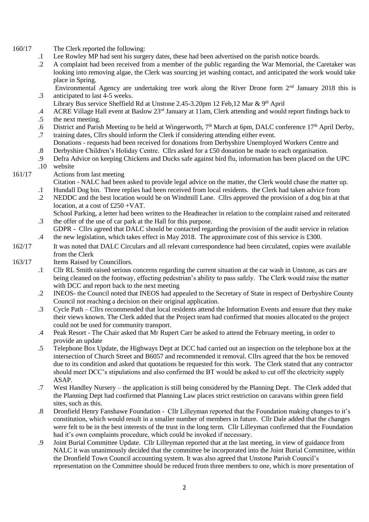- 160/17 The Clerk reported the following:
	- .1 Lee Rowley MP had sent his surgery dates, these had been advertised on the parish notice boards.
	- .2 A complaint had been received from a member of the public regarding the War Memorial, the Caretaker was looking into removing algae, the Clerk was sourcing jet washing contact, and anticipated the work would take place in Spring.
	- .3 Environmental Agency are undertaking tree work along the River Drone form 2nd January 2018 this is anticipated to last 4-5 weeks.
		- Library Bus service Sheffield Rd at Unstone 2.45-3.20pm 12 Feb, 12 Mar & 9th April
	- .4 ACRE Village Hall event at Baslow 23rd January at 11am, Clerk attending and would report findings back to
	- .5 the next meeting.
	- .6 District and Parish Meeting to be held at Wingerworth,  $7<sup>th</sup>$  March at 6pm, DALC conference 17<sup>th</sup> April Derby,
	- .7 training dates, Cllrs should inform the Clerk if considering attending either event. Donations - requests had been received for donations from Derbyshire Unemployed Workers Centre and
	- .8 Derbyshire Children's Holiday Centre. Cllrs asked for a £50 donation be made to each organisation.
	- .9 Defra Advice on keeping Chickens and Ducks safe against bird flu, information has been placed on the UPC
	- .10 website

## 161/17 Actions from last meeting

- .1 Citation - NALC had been asked to provide legal advice on the matter, the Clerk would chase the matter up. Hundall Dog bin. Three replies had been received from local residents. the Clerk had taken advice from
- .2 NEDDC and the best location would be on Windmill Lane. Cllrs approved the provision of a dog bin at that location, at a cost of £250 +VAT.
- .3 School Parking, a letter had been written to the Headteacher in relation to the complaint raised and reiterated the offer of the use of car park at the Hall for this purpose.
- .4 GDPR - Cllrs agreed that DALC should be contacted regarding the provision of the audit service in relation the new legislation, which takes effect in May 2018. The approximate cost of this service is £300.
- 162/17 It was noted that DALC Circulars and all relevant correspondence had been circulated, copies were available from the Clerk

## 163/17 Items Raised by Councillors.

- .1 Cllr RL Smith raised serious concerns regarding the current situation at the car wash in Unstone, as cars are being cleaned on the footway, effecting pedestrian's ability to pass safely. The Clerk would raise the matter with DCC and report back to the next meeting
- .2 INEOS- the Council noted that INEOS had appealed to the Secretary of State in respect of Derbyshire County Council not reaching a decision on their original application.
- .3 Cycle Path Cllrs recommended that local residents attend the Information Events and ensure that they make their views known. The Clerk added that the Project team had confirmed that monies allocated to the project could not be used for community transport.
- .4 Peak Resort The Chair asked that Mr Rupert Carr be asked to attend the February meeting, in order to provide an update
- .5 Telephone Box Update, the Highways Dept at DCC had carried out an inspection on the telephone box at the intersection of Church Street and B6057 and recommended it removal. Cllrs agreed that the box be removed due to its condition and asked that quotations be requested for this work. The Clerk stated that any contractor should meet DCC's stipulations and also confirmed the BT would be asked to cut off the electricity supply ASAP.
- .7 West Handley Nursery the application is still being considered by the Planning Dept. The Clerk added that the Planning Dept had confirmed that Planning Law places strict restriction on caravans within green field sites, such as this.
- .8 Dronfield Henry Fanshawe Foundation Cllr Lilleyman reported that the Foundation making changes to it's constitution, which would result in a smaller number of members in future. Cllr Dale added that the changes were felt to be in the best interests of the trust in the long term. Cllr Lilleyman confirmed that the Foundation had it's own complaints procedure, which could be invoked if necessary.
- .9 Joint Burial Committee Update. Cllr Lilleyman reported that at the last meeting, in view of guidance from NALC it was unanimously decided that the committee be incorporated into the Joint Burial Committee, within the Dronfield Town Council accounting system. It was also agreed that Unstone Parish Council's representation on the Committee should be reduced from three members to one, which is more presentation of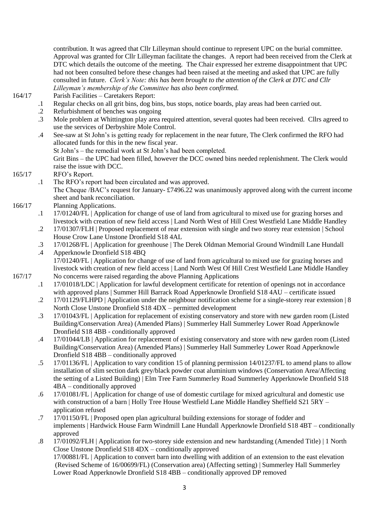contribution. It was agreed that Cllr Lilleyman should continue to represent UPC on the burial committee. Approval was granted for Cllr Lilleyman facilitate the changes. A report had been received from the Clerk at DTC which details the outcome of the meeting. The Chair expressed her extreme disappointment that UPC had not been consulted before these changes had been raised at the meeting and asked that UPC are fully consulted in future. *Clerk's Note: this has been brought to the attention of the Clerk at DTC and Cllr Lilleyman's membership of the Committee has also been confirmed.*

164/17

- .1 Parish Facilities – Caretakers Report: Regular checks on all grit bins, dog bins, bus stops, notice boards, play areas had been carried out.
- .2 Refurbishment of benches was ongoing
- .3 Mole problem at Whittington play area required attention, several quotes had been received. Cllrs agreed to use the services of Derbyshire Mole Control.
- .4 See-saw at St John's is getting ready for replacement in the near future, The Clerk confirmed the RFO had allocated funds for this in the new fiscal year.
	- St John's the remedial work at St John's had been completed.

Grit Bins – the UPC had been filled, however the DCC owned bins needed replenishment. The Clerk would raise the issue with DCC.

- 165/17 RFO's Report.
	- .1 The RFO's report had been circulated and was approved. The Cheque /BAC's request for January- £7496.22 was unanimously approved along with the current income sheet and bank reconciliation.
- 166/17 Planning Applications.
	- .1 17/01240/FL | Application for change of use of land from agricultural to mixed use for grazing horses and livestock with creation of new field access | Land North West of Hill Crest Westfield Lane Middle Handley
	- .2 17/01307/FLH | Proposed replacement of rear extension with single and two storey rear extension | School House Crow Lane Unstone Dronfield S18 4AL
	- .3 17/01268/FL | Application for greenhouse | The Derek Oldman Memorial Ground Windmill Lane Hundall
- .4 Apperknowle Dronfield S18 4BQ 17/01240/FL | Application for change of use of land from agricultural to mixed use for grazing horses and livestock with creation of new field access | Land North West Of Hill Crest Westfield Lane Middle Handley 167/17 No concerns were raised regarding the above Planning Applications
	- .1 17/01018/LDC | Application for lawful development certificate for retention of openings not in accordance with approved plans | Summer Hill Barrack Road Apperknowle Dronfield S18 4AU – certificate issued
	- .2 17/01129/FLHPD | Application under the neighbour notification scheme for a single-storey rear extension | 8 North Close Unstone Dronfield S18 4DX – permitted development
	- .3 17/01043/FL | Application for replacement of existing conservatory and store with new garden room (Listed Building/Conservation Area) (Amended Plans) | Summerley Hall Summerley Lower Road Apperknowle Dronfield S18 4BB - conditionally approved
	- .4 17/01044/LB | Application for replacement of existing conservatory and store with new garden room (Listed Building/Conservation Area) (Amended Plans) | Summerley Hall Summerley Lower Road Apperknowle Dronfield S18 4BB – conditionally approved
	- .5 17/01136/FL | Application to vary condition 15 of planning permission 14/01237/FL to amend plans to allow installation of slim section dark grey/black powder coat aluminium windows (Conservation Area/Affecting the setting of a Listed Building) | Elm Tree Farm Summerley Road Summerley Apperknowle Dronfield S18 4BA – conditionally approved
	- .6 17/01081/FL | Application for change of use of domestic curtilage for mixed agricultural and domestic use with construction of a barn | Holly Tree House Westfield Lane Middle Handley Sheffield S21 5RY – application refused
	- .7 17/01150/FL | Proposed open plan agricultural building extensions for storage of fodder and implements | Hardwick House Farm Windmill Lane Hundall Apperknowle Dronfield S18 4BT – conditionally approved
	- .8 17/01092/FLH | Application for two-storey side extension and new hardstanding (Amended Title) | 1 North Close Unstone Dronfield S18 4DX – conditionally approved 17/00881/FL | Application to convert barn into dwelling with addition of an extension to the east elevation (Revised Scheme of 16/00699/FL) (Conservation area) (Affecting setting) | Summerley Hall Summerley Lower Road Apperknowle Dronfield S18 4BB – conditionally approved DP removed